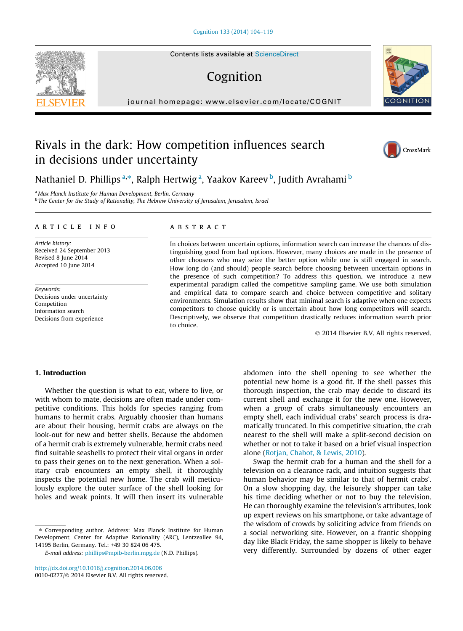Contents lists available at [ScienceDirect](http://www.sciencedirect.com/science/journal/00100277)

# Cognition

journal homepage: [www.elsevier.com/locate/COGNIT](http://www.elsevier.com/locate/COGNIT)

# Rivals in the dark: How competition influences search in decisions under uncertainty

Nathaniel D. Phillips <sup>a,\*</sup>, Ralph Hertwig <sup>a</sup>, Yaakov Kareev <sup>b</sup>, Judith Avrahami <sup>b</sup>

<sup>a</sup> Max Planck Institute for Human Development, Berlin, Germany

**b** The Center for the Study of Rationality, The Hebrew University of Jerusalem, Jerusalem, Israel

#### article info

Article history: Received 24 September 2013 Revised 8 June 2014 Accepted 10 June 2014

Keywords: Decisions under uncertainty Competition Information search Decisions from experience

## **ABSTRACT**

In choices between uncertain options, information search can increase the chances of distinguishing good from bad options. However, many choices are made in the presence of other choosers who may seize the better option while one is still engaged in search. How long do (and should) people search before choosing between uncertain options in the presence of such competition? To address this question, we introduce a new experimental paradigm called the competitive sampling game. We use both simulation and empirical data to compare search and choice between competitive and solitary environments. Simulation results show that minimal search is adaptive when one expects competitors to choose quickly or is uncertain about how long competitors will search. Descriptively, we observe that competition drastically reduces information search prior to choice.

- 2014 Elsevier B.V. All rights reserved.

# 1. Introduction

Whether the question is what to eat, where to live, or with whom to mate, decisions are often made under competitive conditions. This holds for species ranging from humans to hermit crabs. Arguably choosier than humans are about their housing, hermit crabs are always on the look-out for new and better shells. Because the abdomen of a hermit crab is extremely vulnerable, hermit crabs need find suitable seashells to protect their vital organs in order to pass their genes on to the next generation. When a solitary crab encounters an empty shell, it thoroughly inspects the potential new home. The crab will meticulously explore the outer surface of the shell looking for holes and weak points. It will then insert its vulnerable

⇑ Corresponding author. Address: Max Planck Institute for Human Development, Center for Adaptive Rationality (ARC), Lentzeallee 94, 14195 Berlin, Germany. Tel.: +49 30 824 06 475.

E-mail address: [phillips@mpib-berlin.mpg.de](mailto:phillips@mpib-berlin.mpg.de) (N.D. Phillips).

<http://dx.doi.org/10.1016/j.cognition.2014.06.006>

0010-0277/© 2014 Elsevier B.V. All rights reserved.

abdomen into the shell opening to see whether the potential new home is a good fit. If the shell passes this thorough inspection, the crab may decide to discard its current shell and exchange it for the new one. However, when a group of crabs simultaneously encounters an empty shell, each individual crabs' search process is dramatically truncated. In this competitive situation, the crab nearest to the shell will make a split-second decision on whether or not to take it based on a brief visual inspection alone [\(Rotjan, Chabot, & Lewis, 2010\)](#page-15-0).

Swap the hermit crab for a human and the shell for a television on a clearance rack, and intuition suggests that human behavior may be similar to that of hermit crabs'. On a slow shopping day, the leisurely shopper can take his time deciding whether or not to buy the television. He can thoroughly examine the television's attributes, look up expert reviews on his smartphone, or take advantage of the wisdom of crowds by soliciting advice from friends on a social networking site. However, on a frantic shopping day like Black Friday, the same shopper is likely to behave very differently. Surrounded by dozens of other eager





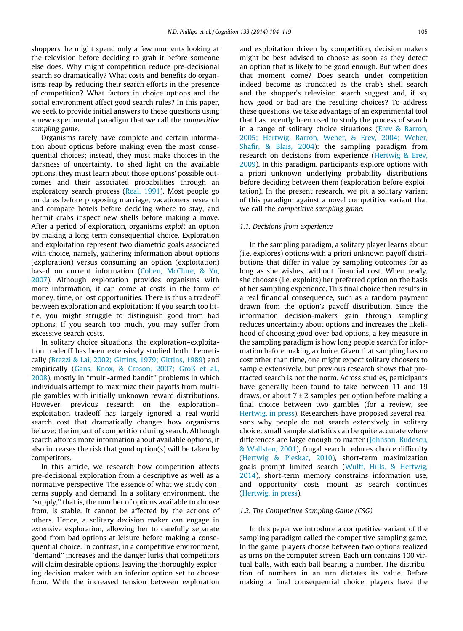shoppers, he might spend only a few moments looking at the television before deciding to grab it before someone else does. Why might competition reduce pre-decisional search so dramatically? What costs and benefits do organisms reap by reducing their search efforts in the presence of competition? What factors in choice options and the social environment affect good search rules? In this paper, we seek to provide initial answers to these questions using a new experimental paradigm that we call the competitive sampling game.

Organisms rarely have complete and certain information about options before making even the most consequential choices; instead, they must make choices in the darkness of uncertainty. To shed light on the available options, they must learn about those options' possible outcomes and their associated probabilities through an exploratory search process ([Real, 1991](#page-15-0)). Most people go on dates before proposing marriage, vacationers research and compare hotels before deciding where to stay, and hermit crabs inspect new shells before making a move. After a period of exploration, organisms exploit an option by making a long-term consequential choice. Exploration and exploitation represent two diametric goals associated with choice, namely, gathering information about options (exploration) versus consuming an option (exploitation) based on current information [\(Cohen, McClure, & Yu,](#page-15-0) [2007\)](#page-15-0). Although exploration provides organisms with more information, it can come at costs in the form of money, time, or lost opportunities. There is thus a tradeoff between exploration and exploitation: If you search too little, you might struggle to distinguish good from bad options. If you search too much, you may suffer from excessive search costs.

In solitary choice situations, the exploration–exploitation tradeoff has been extensively studied both theoretically [\(Brezzi & Lai, 2002; Gittins, 1979; Gittins, 1989](#page-14-0)) and empirically ([Gans, Knox, & Croson, 2007; Groß et al.,](#page-15-0) [2008\)](#page-15-0), mostly in ''multi-armed bandit'' problems in which individuals attempt to maximize their payoffs from multiple gambles with initially unknown reward distributions. However, previous research on the exploration– exploitation tradeoff has largely ignored a real-world search cost that dramatically changes how organisms behave: the impact of competition during search. Although search affords more information about available options, it also increases the risk that good option(s) will be taken by competitors.

In this article, we research how competition affects pre-decisional exploration from a descriptive as well as a normative perspective. The essence of what we study concerns supply and demand. In a solitary environment, the ''supply,'' that is, the number of options available to choose from, is stable. It cannot be affected by the actions of others. Hence, a solitary decision maker can engage in extensive exploration, allowing her to carefully separate good from bad options at leisure before making a consequential choice. In contrast, in a competitive environment, ''demand'' increases and the danger lurks that competitors will claim desirable options, leaving the thoroughly exploring decision maker with an inferior option set to choose from. With the increased tension between exploration and exploitation driven by competition, decision makers might be best advised to choose as soon as they detect an option that is likely to be good enough. But when does that moment come? Does search under competition indeed become as truncated as the crab's shell search and the shopper's television search suggest and, if so, how good or bad are the resulting choices? To address these questions, we take advantage of an experimental tool that has recently been used to study the process of search in a range of solitary choice situations ([Erev & Barron,](#page-15-0) [2005; Hertwig, Barron, Weber, & Erev, 2004; Weber,](#page-15-0) [Shafir, & Blais, 2004\)](#page-15-0): the sampling paradigm from research on decisions from experience [\(Hertwig & Erev,](#page-15-0) [2009\)](#page-15-0). In this paradigm, participants explore options with a priori unknown underlying probability distributions before deciding between them (exploration before exploitation). In the present research, we pit a solitary variant of this paradigm against a novel competitive variant that we call the competitive sampling game.

#### 1.1. Decisions from experience

In the sampling paradigm, a solitary player learns about (i.e. explores) options with a priori unknown payoff distributions that differ in value by sampling outcomes for as long as she wishes, without financial cost. When ready, she chooses (i.e. exploits) her preferred option on the basis of her sampling experience. This final choice then results in a real financial consequence, such as a random payment drawn from the option's payoff distribution. Since the information decision-makers gain through sampling reduces uncertainty about options and increases the likelihood of choosing good over bad options, a key measure in the sampling paradigm is how long people search for information before making a choice. Given that sampling has no cost other than time, one might expect solitary choosers to sample extensively, but previous research shows that protracted search is not the norm. Across studies, participants have generally been found to take between 11 and 19 draws, or about  $7 \pm 2$  samples per option before making a final choice between two gambles (for a review, see [Hertwig, in press](#page-15-0)). Researchers have proposed several reasons why people do not search extensively in solitary choice: small sample statistics can be quite accurate where differences are large enough to matter ([Johnson, Budescu,](#page-15-0) [& Wallsten, 2001](#page-15-0)), frugal search reduces choice difficulty [\(Hertwig & Pleskac, 2010\)](#page-15-0), short-term maximization goals prompt limited search [\(Wulff, Hills, & Hertwig,](#page-15-0) [2014\)](#page-15-0), short-term memory constrains information use, and opportunity costs mount as search continues [\(Hertwig, in press\)](#page-15-0).

#### 1.2. The Competitive Sampling Game (CSG)

In this paper we introduce a competitive variant of the sampling paradigm called the competitive sampling game. In the game, players choose between two options realized as urns on the computer screen. Each urn contains 100 virtual balls, with each ball bearing a number. The distribution of numbers in an urn dictates its value. Before making a final consequential choice, players have the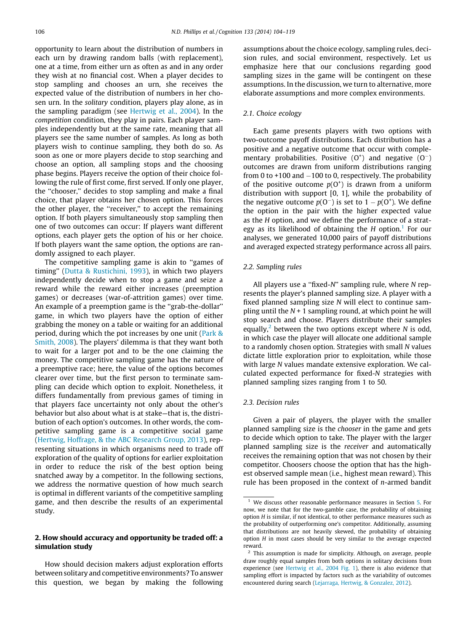opportunity to learn about the distribution of numbers in each urn by drawing random balls (with replacement), one at a time, from either urn as often as and in any order they wish at no financial cost. When a player decides to stop sampling and chooses an urn, she receives the expected value of the distribution of numbers in her chosen urn. In the solitary condition, players play alone, as in the sampling paradigm (see [Hertwig et al., 2004\)](#page-15-0). In the competition condition, they play in pairs. Each player samples independently but at the same rate, meaning that all players see the same number of samples. As long as both players wish to continue sampling, they both do so. As soon as one or more players decide to stop searching and choose an option, all sampling stops and the choosing phase begins. Players receive the option of their choice following the rule of first come, first served. If only one player, the ''chooser,'' decides to stop sampling and make a final choice, that player obtains her chosen option. This forces the other player, the ''receiver,'' to accept the remaining option. If both players simultaneously stop sampling then one of two outcomes can occur: If players want different options, each player gets the option of his or her choice. If both players want the same option, the options are randomly assigned to each player.

The competitive sampling game is akin to ''games of timing'' [\(Dutta & Rustichini, 1993\)](#page-15-0), in which two players independently decide when to stop a game and seize a reward while the reward either increases (preemption games) or decreases (war-of-attrition games) over time. An example of a preemption game is the ''grab-the-dollar'' game, in which two players have the option of either grabbing the money on a table or waiting for an additional period, during which the pot increases by one unit ([Park &](#page-15-0) [Smith, 2008\)](#page-15-0). The players' dilemma is that they want both to wait for a larger pot and to be the one claiming the money. The competitive sampling game has the nature of a preemptive race; here, the value of the options becomes clearer over time, but the first person to terminate sampling can decide which option to exploit. Nonetheless, it differs fundamentally from previous games of timing in that players face uncertainty not only about the other's behavior but also about what is at stake—that is, the distribution of each option's outcomes. In other words, the competitive sampling game is a competitive social game [\(Hertwig, Hoffrage, & the ABC Research Group, 2013](#page-15-0)), representing situations in which organisms need to trade off exploration of the quality of options for earlier exploitation in order to reduce the risk of the best option being snatched away by a competitor. In the following sections, we address the normative question of how much search is optimal in different variants of the competitive sampling game, and then describe the results of an experimental study.

## 2. How should accuracy and opportunity be traded off: a simulation study

How should decision makers adjust exploration efforts between solitary and competitive environments? To answer this question, we began by making the following assumptions about the choice ecology, sampling rules, decision rules, and social environment, respectively. Let us emphasize here that our conclusions regarding good sampling sizes in the game will be contingent on these assumptions. In the discussion, we turn to alternative, more elaborate assumptions and more complex environments.

## 2.1. Choice ecology

Each game presents players with two options with two-outcome payoff distributions. Each distribution has a positive and a negative outcome that occur with complementary probabilities. Positive  $(0^+)$  and negative  $(0^-)$ outcomes are drawn from uniform distributions ranging from 0 to  $+100$  and  $-100$  to 0, respectively. The probability of the positive outcome  $p(O<sup>+</sup>)$  is drawn from a uniform distribution with support [0, 1], while the probability of the negative outcome  $p(O^-)$  is set to  $1 - p(O^+)$ . We define the option in the pair with the higher expected value as the H option, and we define the performance of a strategy as its likelihood of obtaining the H option.<sup>1</sup> For our analyses, we generated 10,000 pairs of payoff distributions and averaged expected strategy performance across all pairs.

## 2.2. Sampling rules

All players use a "fixed-N" sampling rule, where N represents the player's planned sampling size. A player with a fixed planned sampling size N will elect to continue sampling until the  $N+1$  sampling round, at which point he will stop search and choose. Players distribute their samples equally,<sup>2</sup> between the two options except where N is odd, in which case the player will allocate one additional sample to a randomly chosen option. Strategies with small N values dictate little exploration prior to exploitation, while those with large N values mandate extensive exploration. We calculated expected performance for fixed-N strategies with planned sampling sizes ranging from 1 to 50.

# 2.3. Decision rules

Given a pair of players, the player with the smaller planned sampling size is the chooser in the game and gets to decide which option to take. The player with the larger planned sampling size is the receiver and automatically receives the remaining option that was not chosen by their competitor. Choosers choose the option that has the highest observed sample mean (i.e., highest mean reward). This rule has been proposed in the context of  $n$ -armed bandit

<sup>&</sup>lt;sup>1</sup> We discuss other reasonable performance measures in Section [5.](#page-9-0) For now, we note that for the two-gamble case, the probability of obtaining  $option H$  is similar, if not identical, to other performance measures such as the probability of outperforming one's competitor. Additionally, assuming that distributions are not heavily skewed, the probability of obtaining option  $H$  in most cases should be very similar to the average expected reward.

<sup>&</sup>lt;sup>2</sup> This assumption is made for simplicity. Although, on average, people draw roughly equal samples from both options in solitary decisions from experience (see [Hertwig et al., 2004](#page-15-0) [Fig. 1](#page-4-0)), there is also evidence that sampling effort is impacted by factors such as the variability of outcomes encountered during search [\(Lejarraga, Hertwig, & Gonzalez, 2012](#page-15-0)).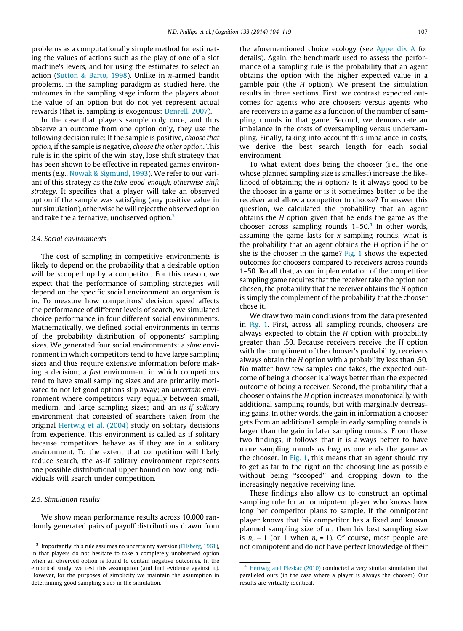problems as a computationally simple method for estimating the values of actions such as the play of one of a slot machine's levers, and for using the estimates to select an action ([Sutton & Barto, 1998\)](#page-15-0). Unlike in *n*-armed bandit problems, in the sampling paradigm as studied here, the outcomes in the sampling stage inform the players about the value of an option but do not yet represent actual rewards (that is, sampling is exogenous; [Denrell, 2007\)](#page-15-0).

In the case that players sample only once, and thus observe an outcome from one option only, they use the following decision rule: If the sample is positive, choose that option, if the sample is negative, choose the other option. This rule is in the spirit of the win-stay, lose-shift strategy that has been shown to be effective in repeated games environments (e.g., [Nowak & Sigmund, 1993](#page-15-0)). We refer to our variant of this strategy as the take-good-enough, otherwise-shift strategy. It specifies that a player will take an observed option if the sample was satisfying (any positive value in our simulation), otherwise he will reject the observed option and take the alternative, unobserved option.<sup>3</sup>

### 2.4. Social environments

The cost of sampling in competitive environments is likely to depend on the probability that a desirable option will be scooped up by a competitor. For this reason, we expect that the performance of sampling strategies will depend on the specific social environment an organism is in. To measure how competitors' decision speed affects the performance of different levels of search, we simulated choice performance in four different social environments. Mathematically, we defined social environments in terms of the probability distribution of opponents' sampling sizes. We generated four social environments: a slow environment in which competitors tend to have large sampling sizes and thus require extensive information before making a decision; a fast environment in which competitors tend to have small sampling sizes and are primarily motivated to not let good options slip away; an uncertain environment where competitors vary equally between small, medium, and large sampling sizes; and an as-if solitary environment that consisted of searchers taken from the original [Hertwig et al. \(2004\)](#page-15-0) study on solitary decisions from experience. This environment is called as-if solitary because competitors behave as if they are in a solitary environment. To the extent that competition will likely reduce search, the as-if solitary environment represents one possible distributional upper bound on how long individuals will search under competition.

#### 2.5. Simulation results

We show mean performance results across 10,000 randomly generated pairs of payoff distributions drawn from the aforementioned choice ecology (see [Appendix A](#page-13-0) for details). Again, the benchmark used to assess the performance of a sampling rule is the probability that an agent obtains the option with the higher expected value in a gamble pair (the H option). We present the simulation results in three sections. First, we contrast expected outcomes for agents who are choosers versus agents who are receivers in a game as a function of the number of sampling rounds in that game. Second, we demonstrate an imbalance in the costs of oversampling versus undersampling. Finally, taking into account this imbalance in costs, we derive the best search length for each social environment.

To what extent does being the chooser (i.e., the one whose planned sampling size is smallest) increase the likelihood of obtaining the H option? Is it always good to be the chooser in a game or is it sometimes better to be the receiver and allow a competitor to choose? To answer this question, we calculated the probability that an agent obtains the H option given that he ends the game as the chooser across sampling rounds  $1-50<sup>4</sup>$  In other words, assuming the game lasts for  $x$  sampling rounds, what is the probability that an agent obtains the H option if he or she is the chooser in the game? [Fig. 1](#page-4-0) shows the expected outcomes for choosers compared to receivers across rounds 1–50. Recall that, as our implementation of the competitive sampling game requires that the receiver take the option not chosen, the probability that the receiver obtains the H option is simply the complement of the probability that the chooser chose it.

We draw two main conclusions from the data presented in [Fig. 1.](#page-4-0) First, across all sampling rounds, choosers are always expected to obtain the H option with probability greater than .50. Because receivers receive the H option with the compliment of the chooser's probability, receivers always obtain the H option with a probability less than .50. No matter how few samples one takes, the expected outcome of being a chooser is always better than the expected outcome of being a receiver. Second, the probability that a chooser obtains the H option increases monotonically with additional sampling rounds, but with marginally decreasing gains. In other words, the gain in information a chooser gets from an additional sample in early sampling rounds is larger than the gain in later sampling rounds. From these two findings, it follows that it is always better to have more sampling rounds as long as one ends the game as the chooser. In [Fig. 1,](#page-4-0) this means that an agent should try to get as far to the right on the choosing line as possible without being ''scooped'' and dropping down to the increasingly negative receiving line.

These findings also allow us to construct an optimal sampling rule for an omnipotent player who knows how long her competitor plans to sample. If the omnipotent player knows that his competitor has a fixed and known planned sampling size of  $n_c$ , then his best sampling size is  $n_c - 1$  (or 1 when  $n_c = 1$ ). Of course, most people are <sup>3</sup> Importantly, this rule assumes no uncertainty aversion ([Ellsberg, 1961](#page-15-0)), **not omnipotent and do not have perfect knowledge of their** 

in that players do not hesitate to take a completely unobserved option when an observed option is found to contain negative outcomes. In the empirical study, we test this assumption (and find evidence against it). However, for the purposes of simplicity we maintain the assumption in determining good sampling sizes in the simulation.

<sup>4</sup> [Hertwig and Pleskac \(2010\)](#page-15-0) conducted a very similar simulation that paralleled ours (in the case where a player is always the chooser). Our results are virtually identical.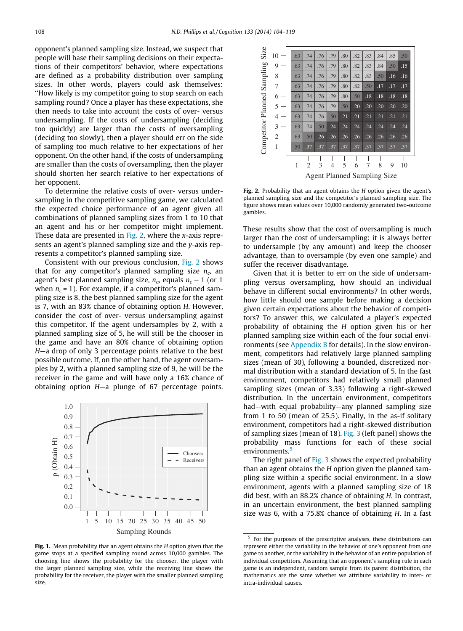<span id="page-4-0"></span>opponent's planned sampling size. Instead, we suspect that people will base their sampling decisions on their expectations of their competitors' behavior, where expectations are defined as a probability distribution over sampling sizes. In other words, players could ask themselves: ''How likely is my competitor going to stop search on each sampling round? Once a player has these expectations, she then needs to take into account the costs of over- versus undersampling. If the costs of undersampling (deciding too quickly) are larger than the costs of oversampling (deciding too slowly), then a player should err on the side of sampling too much relative to her expectations of her opponent. On the other hand, if the costs of undersampling are smaller than the costs of oversampling, then the player should shorten her search relative to her expectations of her opponent.

To determine the relative costs of over- versus undersampling in the competitive sampling game, we calculated the expected choice performance of an agent given all combinations of planned sampling sizes from 1 to 10 that an agent and his or her competitor might implement. These data are presented in Fig. 2, where the x-axis represents an agent's planned sampling size and the y-axis represents a competitor's planned sampling size.

Consistent with our previous conclusion, Fig. 2 shows that for any competitor's planned sampling size  $n_c$ , an agent's best planned sampling size,  $n_a$ , equals  $n_c - 1$  (or 1 when  $n_c = 1$ ). For example, if a competitor's planned sampling size is 8, the best planned sampling size for the agent is 7, with an 83% chance of obtaining option H. However, consider the cost of over- versus undersampling against this competitor. If the agent undersamples by 2, with a planned sampling size of 5, he will still be the chooser in the game and have an 80% chance of obtaining option H—a drop of only 3 percentage points relative to the best possible outcome. If, on the other hand, the agent oversamples by 2, with a planned sampling size of 9, he will be the receiver in the game and will have only a 16% chance of obtaining option H—a plunge of 67 percentage points.



Fig. 1. Mean probability that an agent obtains the  $H$  option given that the game stops at a specified sampling round across 10,000 gambles. The choosing line shows the probability for the chooser, the player with the larger planned sampling size, while the receiving line shows the probability for the receiver, the player with the smaller planned sampling size.



Fig. 2. Probability that an agent obtains the H option given the agent's planned sampling size and the competitor's planned sampling size. The figure shows mean values over 10,000 randomly generated two-outcome gambles.

These results show that the cost of oversampling is much larger than the cost of undersampling: it is always better to undersample (by any amount) and keep the chooser advantage, than to oversample (by even one sample) and suffer the receiver disadvantage.

Given that it is better to err on the side of undersampling versus oversampling, how should an individual behave in different social environments? In other words, how little should one sample before making a decision given certain expectations about the behavior of competitors? To answer this, we calculated a player's expected probability of obtaining the H option given his or her planned sampling size within each of the four social envi-ronments (see [Appendix B](#page-13-0) for details). In the slow environment, competitors had relatively large planned sampling sizes (mean of 30), following a bounded, discretized normal distribution with a standard deviation of 5. In the fast environment, competitors had relatively small planned sampling sizes (mean of 3.33) following a right-skewed distribution. In the uncertain environment, competitors had—with equal probability—any planned sampling size from 1 to 50 (mean of 25.5). Finally, in the as-if solitary environment, competitors had a right-skewed distribution of sampling sizes (mean of 18). [Fig. 3](#page-5-0) (left panel) shows the probability mass functions for each of these social environments.<sup>5</sup>

The right panel of [Fig. 3](#page-5-0) shows the expected probability than an agent obtains the H option given the planned sampling size within a specific social environment. In a slow environment, agents with a planned sampling size of 18 did best, with an 88.2% chance of obtaining H. In contrast, in an uncertain environment, the best planned sampling size was 6, with a 75.8% chance of obtaining H. In a fast

<sup>&</sup>lt;sup>5</sup> For the purposes of the prescriptive analyses, these distributions can represent either the variability in the behavior of one's opponent from one game to another, or the variability in the behavior of an entire population of individual competitors. Assuming that an opponent's sampling rule in each game is an independent, random sample from its parent distribution, the mathematics are the same whether we attribute variability to inter- or intra-individual causes.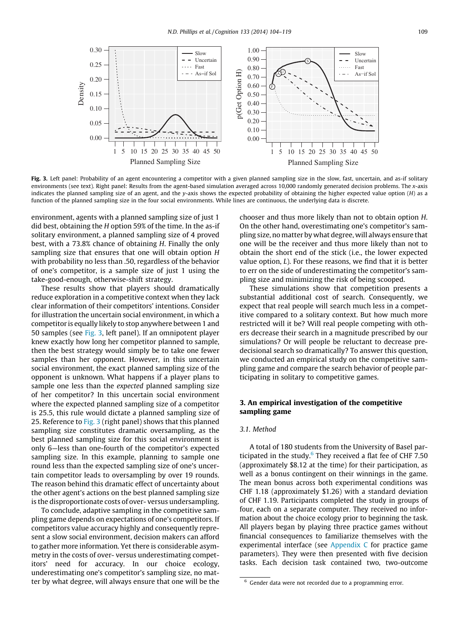<span id="page-5-0"></span>

Fig. 3. Left panel: Probability of an agent encountering a competitor with a given planned sampling size in the slow, fast, uncertain, and as-if solitary environments (see text). Right panel: Results from the agent-based simulation averaged across 10,000 randomly generated decision problems. The x-axis indicates the planned sampling size of an agent, and the y-axis shows the expected probability of obtaining the higher expected value option (H) as a function of the planned sampling size in the four social environments. While lines are continuous, the underlying data is discrete.

environment, agents with a planned sampling size of just 1 did best, obtaining the H option 59% of the time. In the as-if solitary environment, a planned sampling size of 4 proved best, with a 73.8% chance of obtaining H. Finally the only sampling size that ensures that one will obtain option H with probability no less than .50, regardless of the behavior of one's competitor, is a sample size of just 1 using the take-good-enough, otherwise-shift strategy.

These results show that players should dramatically reduce exploration in a competitive context when they lack clear information of their competitors' intentions. Consider for illustration the uncertain social environment, in which a competitor is equally likely to stop anywhere between 1 and 50 samples (see Fig. 3, left panel). If an omnipotent player knew exactly how long her competitor planned to sample, then the best strategy would simply be to take one fewer samples than her opponent. However, in this uncertain social environment, the exact planned sampling size of the opponent is unknown. What happens if a player plans to sample one less than the expected planned sampling size of her competitor? In this uncertain social environment where the expected planned sampling size of a competitor is 25.5, this rule would dictate a planned sampling size of 25. Reference to Fig. 3 (right panel) shows that this planned sampling size constitutes dramatic oversampling, as the best planned sampling size for this social environment is only 6—less than one-fourth of the competitor's expected sampling size. In this example, planning to sample one round less than the expected sampling size of one's uncertain competitor leads to oversampling by over 19 rounds. The reason behind this dramatic effect of uncertainty about the other agent's actions on the best planned sampling size is the disproportionate costs of over- versus undersampling.

To conclude, adaptive sampling in the competitive sampling game depends on expectations of one's competitors. If competitors value accuracy highly and consequently represent a slow social environment, decision makers can afford to gather more information. Yet there is considerable asymmetry in the costs of over- versus underestimating competitors' need for accuracy. In our choice ecology, underestimating one's competitor's sampling size, no matter by what degree, will always ensure that one will be the chooser and thus more likely than not to obtain option H. On the other hand, overestimating one's competitor's sampling size, no matter by what degree, will always ensure that one will be the receiver and thus more likely than not to obtain the short end of the stick (i.e., the lower expected value option,  $L$ ). For these reasons, we find that it is better to err on the side of underestimating the competitor's sampling size and minimizing the risk of being scooped.

These simulations show that competition presents a substantial additional cost of search. Consequently, we expect that real people will search much less in a competitive compared to a solitary context. But how much more restricted will it be? Will real people competing with others decrease their search in a magnitude prescribed by our simulations? Or will people be reluctant to decrease predecisional search so dramatically? To answer this question, we conducted an empirical study on the competitive sampling game and compare the search behavior of people participating in solitary to competitive games.

## 3. An empirical investigation of the competitive sampling game

## 3.1. Method

A total of 180 students from the University of Basel participated in the study. $6$  They received a flat fee of CHF 7.50 (approximately \$8.12 at the time) for their participation, as well as a bonus contingent on their winnings in the game. The mean bonus across both experimental conditions was CHF 1.18 (approximately \$1.26) with a standard deviation of CHF 1.19. Participants completed the study in groups of four, each on a separate computer. They received no information about the choice ecology prior to beginning the task. All players began by playing three practice games without financial consequences to familiarize themselves with the experimental interface (see [Appendix C](#page-13-0) for practice game parameters). They were then presented with five decision tasks. Each decision task contained two, two-outcome

<sup>6</sup> Gender data were not recorded due to a programming error.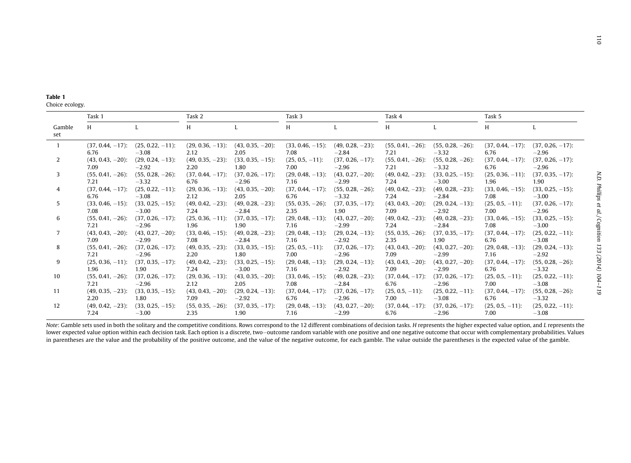<span id="page-6-0"></span>

Choice ecology.

|               | Task 1                      |                                                    | Task 2 |                                                      | Task 3                      |                                                    | Task 4                      |                                | Task 5                      |                                                    |
|---------------|-----------------------------|----------------------------------------------------|--------|------------------------------------------------------|-----------------------------|----------------------------------------------------|-----------------------------|--------------------------------|-----------------------------|----------------------------------------------------|
| Gamble<br>set | H                           | L                                                  | H      | L                                                    | H                           |                                                    | H                           |                                | H                           |                                                    |
| 1             | 6.76                        | $(37, 0.44, -17)$ ; $(25, 0.22, -11)$ ;<br>$-3.08$ | 2.12   | $(29, 0.36, -13);$ $(43, 0.35, -20);$<br>2.05        | 7.08                        | $(33, 0.46, -15)$ : $(49, 0.28, -23)$ :<br>$-2.84$ | $(55, 0.41, -26)$ :<br>7.21 | $(55, 0.28, -26)$ :<br>$-3.32$ | 6.76                        | $(37, 0.44, -17)$ : $(37, 0.26, -17)$ :<br>$-2.96$ |
| 2             | 7.09                        | $(43, 0.43, -20)$ ; $(29, 0.24, -13)$ ;<br>$-2.92$ | 2.20   | $(49, 0.35, -23)$ : $(33, 0.35, -15)$ :<br>1.80      | $(25, 0.5, -11)$ :<br>7.00  | $(37, 0.26, -17)$ :<br>$-2.96$                     | $(55, 0.41, -26)$ :<br>7.21 | $(55, 0.28, -26)$ :<br>$-3.32$ | $(37, 0.44, -17)$ :<br>6.76 | $(37, 0.26, -17)$ :<br>$-2.96$                     |
| 3             | 7.21                        | $(55, 0.41, -26)$ : $(55, 0.28, -26)$ :<br>$-3.32$ | 6.76   | $(37, 0.44, -17)$ : $(37, 0.26, -17)$ :<br>$-2.96$   | $(29, 0.48, -13)$ :<br>7.16 | $(43, 0.27, -20)$ :<br>$-2.99$                     | $(49, 0.42, -23)$ :<br>7.24 | $(33, 0.25, -15)$ :<br>$-3.00$ | 1.96                        | $(25, 0.36, -11)$ : $(37, 0.35, -17)$ :<br>1.90    |
|               | 6.76                        | $(37, 0.44, -17)$ : $(25, 0.22, -11)$ :<br>$-3.08$ | 2.12   | $(29, 0.36, -13)$ : $(43, 0.35, -20)$ :<br>2.05      | $(37, 0.44, -17)$ :<br>6.76 | $(55, 0.28, -26)$ :<br>$-3.32$                     | $(49, 0.42, -23)$ :<br>7.24 | $(49, 0.28, -23)$ :<br>$-2.84$ | 7.08                        | $(33, 0.46, -15)$ : $(33, 0.25, -15)$ :<br>$-3.00$ |
| 5             | 7.08                        | $(33, 0.46, -15)$ ; $(33, 0.25, -15)$ ;<br>$-3.00$ | 7.24   | $(49, 0.42, -23)$ : $(49, 0.28, -23)$ :<br>$-2.84$   | $(55, 0.35, -26)$ :<br>2.35 | $(37, 0.35, -17)$ :<br>1.90                        | $(43, 0.43, -20)$ :<br>7.09 | $(29, 0.24, -13)$ :<br>$-2.92$ | $(25, 0.5, -11)$ :<br>7.00  | $(37, 0.26, -17)$ :<br>$-2.96$                     |
| 6             | $(55, 0.41, -26)$ :<br>7.21 | $(37, 0.26, -17)$ :<br>$-2.96$                     | 1.96   | $(25, 0.36, -11)$ : $(37, 0.35, -17)$ :<br>1.90      | $(29, 0.48, -13)$ :<br>7.16 | $(43, 0.27, -20)$ :<br>$-2.99$                     | $(49, 0.42, -23)$ :<br>7.24 | $(49, 0.28, -23)$ :<br>$-2.84$ | $(33, 0.46, -15)$ :<br>7.08 | $(33, 0.25, -15)$ :<br>$-3.00$                     |
| 7             | 7.09                        | $(43, 0.43, -20)$ ; $(43, 0.27, -20)$ ;<br>$-2.99$ | 7.08   | $(33, 0.46, -15)$ : $(49, 0.28, -23)$ :<br>$-2.84$   | $(29, 0.48, -13)$ :<br>7.16 | $(29, 0.24, -13)$ :<br>$-2.92$                     | $(55, 0.35, -26)$ :<br>2.35 | $(37, 0.35, -17)$ :<br>1.90    | $(37, 0.44, -17)$ :<br>6.76 | $(25, 0.22, -11)$ :<br>$-3.08$                     |
| 8             | 7.21                        | $(55, 0.41, -26)$ ; $(37, 0.26, -17)$ ;<br>$-2.96$ | 2.20   | $(49, 0.35, -23)$ : $(33, 0.35, -15)$ :<br>1.80      | $(25, 0.5, -11)$ :<br>7.00  | $(37, 0.26, -17)$ :<br>$-2.96$                     | $(43, 0.43, -20)$ :<br>7.09 | $(43, 0.27, -20)$ :<br>$-2.99$ | 7.16                        | $(29, 0.48, -13)$ : $(29, 0.24, -13)$ :<br>$-2.92$ |
| 9             | 1.96                        | $(25, 0.36, -11)$ ; $(37, 0.35, -17)$ ;<br>1.90    | 7.24   | $(49, 0.42, -23)$ ; $(33, 0.25, -15)$ ;<br>$-3.00$   | $(29, 0.48, -13)$ :<br>7.16 | $(29, 0.24, -13)$ :<br>$-2.92$                     | $(43, 0.43, -20)$ :<br>7.09 | $(43, 0.27, -20)$ :<br>$-2.99$ | $(37, 0.44, -17)$ :<br>6.76 | $(55, 0.28, -26)$ :<br>$-3.32$                     |
| 10            | 7.21                        | $(55, 0.41, -26)$ : $(37, 0.26, -17)$ :<br>$-2.96$ | 2.12   | $(29, 0.36, -13)$ : $(43, 0.35, -20)$ :<br>2.05      | $(33, 0.46, -15)$ :<br>7.08 | $(49, 0.28, -23)$ :<br>$-2.84$                     | $(37, 0.44, -17)$ :<br>6.76 | $(37, 0.26, -17)$ :<br>$-2.96$ | $(25, 0.5, -11)$ :<br>7.00  | $(25, 0.22, -11)$ :<br>$-3.08$                     |
| 11            | $(49, 0.35, -23)$ :<br>2.20 | $(33, 0.35, -15)$ :<br>1.80                        | 7.09   | $(43, 0.43, -20)$ : $(29, 0.24, -13)$ :<br>$-2.92$   | $(37, 0.44, -17)$ :<br>6.76 | $(37, 0.26, -17)$ :<br>$-2.96$                     | $(25, 0.5, -11)$ :<br>7.00  | $(25, 0.22, -11)$ :<br>$-3.08$ | $(37, 0.44, -17)$ :<br>6.76 | $(55, 0.28, -26)$ :<br>$-3.32$                     |
| 12            | 7.24                        | $(49, 0.42, -23)$ : $(33, 0.25, -15)$ :<br>$-3.00$ |        | $(55, 0.35, -26)$ : $(37, 0.35, -17)$ :<br>2.35 1.90 | 7.16                        | $(29, 0.48, -13)$ : $(43, 0.27, -20)$ :<br>$-2.99$ | $(37, 0.44, -17)$ :<br>6.76 | $(37, 0.26, -17)$ :<br>$-2.96$ | $(25, 0.5, -11)$ :<br>7.00  | $(25, 0.22, -11)$ :<br>$-3.08$                     |

Note: Gamble sets used in both the solitary and the competitive conditions. Rows correspond to the 12 different combinations of decision tasks. H represents the higher expected value option, and L represents the lower expected value option within each decision task. Each option is a discrete, two–outcome random variable with one positive and one negative outcome that occur with complementary probabilities. Values in parentheses are the value and the probability of the positive outcome, and the value of the negative outcome, for each gamble. The value outside the parentheses is the expected value of the gamble.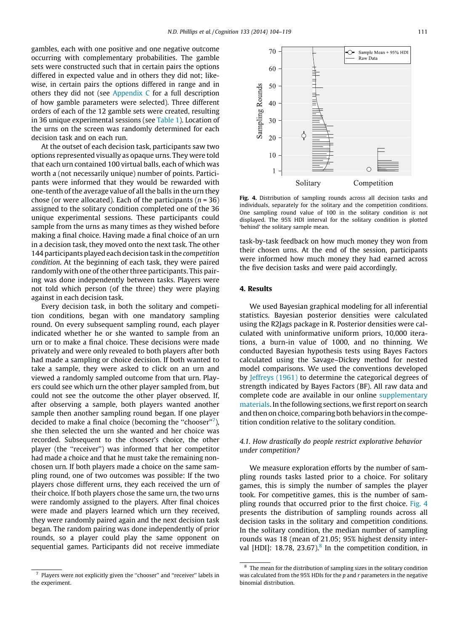gambles, each with one positive and one negative outcome occurring with complementary probabilities. The gamble sets were constructed such that in certain pairs the options differed in expected value and in others they did not; likewise, in certain pairs the options differed in range and in others they did not (see [Appendix C](#page-13-0) for a full description of how gamble parameters were selected). Three different orders of each of the 12 gamble sets were created, resulting in 36 unique experimental sessions (see [Table 1](#page-6-0)). Location of the urns on the screen was randomly determined for each decision task and on each run.

At the outset of each decision task, participants saw two options represented visually as opaque urns. They were told that each urn contained 100 virtual balls, each of which was worth a (not necessarily unique) number of points. Participants were informed that they would be rewarded with one-tenth of the average value of all the balls in the urn they chose (or were allocated). Each of the participants ( $n = 36$ ) assigned to the solitary condition completed one of the 36 unique experimental sessions. These participants could sample from the urns as many times as they wished before making a final choice. Having made a final choice of an urn in a decision task, they moved onto the next task. The other 144 participants played each decision task in the competition condition. At the beginning of each task, they were paired randomly with one of the other three participants. This pairing was done independently between tasks. Players were not told which person (of the three) they were playing against in each decision task.

Every decision task, in both the solitary and competition conditions, began with one mandatory sampling round. On every subsequent sampling round, each player indicated whether he or she wanted to sample from an urn or to make a final choice. These decisions were made privately and were only revealed to both players after both had made a sampling or choice decision. If both wanted to take a sample, they were asked to click on an urn and viewed a randomly sampled outcome from that urn. Players could see which urn the other player sampled from, but could not see the outcome the other player observed. If, after observing a sample, both players wanted another sample then another sampling round began. If one player decided to make a final choice (becoming the "chooser"<sup>7</sup>), she then selected the urn she wanted and her choice was recorded. Subsequent to the chooser's choice, the other player (the ''receiver'') was informed that her competitor had made a choice and that he must take the remaining nonchosen urn. If both players made a choice on the same sampling round, one of two outcomes was possible: If the two players chose different urns, they each received the urn of their choice. If both players chose the same urn, the two urns were randomly assigned to the players. After final choices were made and players learned which urn they received, they were randomly paired again and the next decision task began. The random pairing was done independently of prior rounds, so a player could play the same opponent on sequential games. Participants did not receive immediate

10  $\cap$  $\mathbf{1}$ Solitary Competition Fig. 4. Distribution of sampling rounds across all decision tasks and

individuals, separately for the solitary and the competition conditions. One sampling round value of 100 in the solitary condition is not displayed. The 95% HDI interval for the solitary condition is plotted 'behind' the solitary sample mean.

task-by-task feedback on how much money they won from their chosen urns. At the end of the session, participants were informed how much money they had earned across the five decision tasks and were paid accordingly.

#### 4. Results

We used Bayesian graphical modeling for all inferential statistics. Bayesian posterior densities were calculated using the R2Jags package in R. Posterior densities were calculated with uninformative uniform priors, 10,000 iterations, a burn-in value of 1000, and no thinning. We conducted Bayesian hypothesis tests using Bayes Factors calculated using the Savage–Dickey method for nested model comparisons. We used the conventions developed by [Jeffreys \(1961\)](#page-15-0) to determine the categorical degrees of strength indicated by Bayes Factors (BF). All raw data and complete code are available in our online supplementary materials. In the following sections, we first report on search and then on choice, comparing both behaviors in the competition condition relative to the solitary condition.

## 4.1. How drastically do people restrict explorative behavior under competition?

We measure exploration efforts by the number of sampling rounds tasks lasted prior to a choice. For solitary games, this is simply the number of samples the player took. For competitive games, this is the number of sampling rounds that occurred prior to the first choice. Fig. 4 presents the distribution of sampling rounds across all decision tasks in the solitary and competition conditions. In the solitary condition, the median number of sampling rounds was 18 (mean of 21.05; 95% highest density interval [HDI]: 18.78, 23.67).<sup>8</sup> In the competition condition, in



 $^7\,$  Players were not explicitly given the "chooser" and "receiver" labels in the experiment.

 $8\text{}$  The mean for the distribution of sampling sizes in the solitary condition was calculated from the 95% HDIs for the  $p$  and  $r$  parameters in the negative binomial distribution.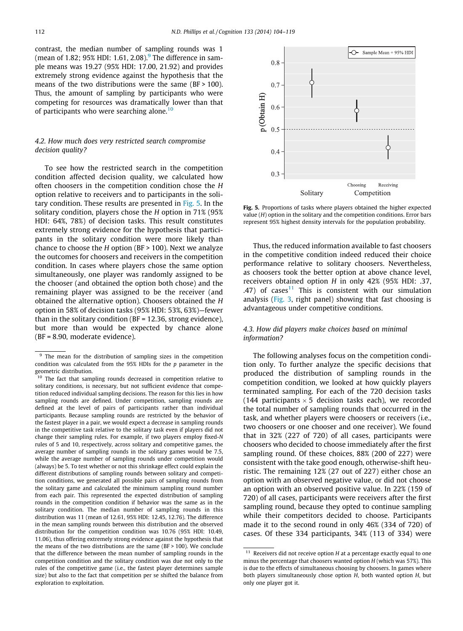contrast, the median number of sampling rounds was 1 (mean of 1.82; 95% HDI: 1.61, 2.08).<sup>9</sup> The difference in sample means was 19.27 (95% HDI: 17.00, 21.92) and provides extremely strong evidence against the hypothesis that the means of the two distributions were the same (BF > 100). Thus, the amount of sampling by participants who were competing for resources was dramatically lower than that of participants who were searching alone.<sup>10</sup>

## 4.2. How much does very restricted search compromise decision quality?

To see how the restricted search in the competition condition affected decision quality, we calculated how often choosers in the competition condition chose the H option relative to receivers and to participants in the solitary condition. These results are presented in Fig. 5. In the solitary condition, players chose the H option in 71% (95% HDI: 64%, 78%) of decision tasks. This result constitutes extremely strong evidence for the hypothesis that participants in the solitary condition were more likely than chance to choose the  $H$  option (BF  $>$  100). Next we analyze the outcomes for choosers and receivers in the competition condition. In cases where players chose the same option simultaneously, one player was randomly assigned to be the chooser (and obtained the option both chose) and the remaining player was assigned to be the receiver (and obtained the alternative option). Choosers obtained the H option in 58% of decision tasks (95% HDI: 53%, 63%)—fewer than in the solitary condition (BF = 12.36, strong evidence), but more than would be expected by chance alone (BF = 8.90, moderate evidence).



Fig. 5. Proportions of tasks where players obtained the higher expected value (H) option in the solitary and the competition conditions. Error bars represent 95% highest density intervals for the population probability.

Thus, the reduced information available to fast choosers in the competitive condition indeed reduced their choice performance relative to solitary choosers. Nevertheless, as choosers took the better option at above chance level, receivers obtained option H in only 42% (95% HDI: .37, .47) of cases<sup>11</sup> This is consistent with our simulation analysis [\(Fig. 3,](#page-5-0) right panel) showing that fast choosing is advantageous under competitive conditions.

## 4.3. How did players make choices based on minimal information?

The following analyses focus on the competition condition only. To further analyze the specific decisions that produced the distribution of sampling rounds in the competition condition, we looked at how quickly players terminated sampling. For each of the 720 decision tasks (144 participants  $\times$  5 decision tasks each), we recorded the total number of sampling rounds that occurred in the task, and whether players were choosers or receivers (i.e., two choosers or one chooser and one receiver). We found that in 32% (227 of 720) of all cases, participants were choosers who decided to choose immediately after the first sampling round. Of these choices, 88% (200 of 227) were consistent with the take good enough, otherwise-shift heuristic. The remaining 12% (27 out of 227) either chose an option with an observed negative value, or did not choose an option with an observed positive value. In 22% (159 of 720) of all cases, participants were receivers after the first sampling round, because they opted to continue sampling while their competitors decided to choose. Participants made it to the second round in only 46% (334 of 720) of cases. Of these 334 participants, 34% (113 of 334) were

The mean for the distribution of sampling sizes in the competition condition was calculated from the  $95%$  HDIs for the  $p$  parameter in the geometric distribution.

<sup>&</sup>lt;sup>10</sup> The fact that sampling rounds decreased in competition relative to solitary conditions, is necessary, but not sufficient evidence that competition reduced individual sampling decisions. The reason for this lies in how sampling rounds are defined. Under competition, sampling rounds are defined at the level of pairs of participants rather than individual participants. Because sampling rounds are restricted by the behavior of the fastest player in a pair, we would expect a decrease in sampling rounds in the competitive task relative to the solitary task even if players did not change their sampling rules. For example, if two players employ fixed-N rules of 5 and 10, respectively, across solitary and competitive games, the average number of sampling rounds in the solitary games would be 7.5, while the average number of sampling rounds under competition would (always) be 5. To test whether or not this shrinkage effect could explain the different distributions of sampling rounds between solitary and competition conditions, we generated all possible pairs of sampling rounds from the solitary game and calculated the minimum sampling round number from each pair. This represented the expected distribution of sampling rounds in the competition condition if behavior was the same as in the solitary condition. The median number of sampling rounds in this distribution was 11 (mean of 12.61, 95% HDI: 12.45, 12.76). The difference in the mean sampling rounds between this distribution and the observed distribution for the competition condition was 10.76 (95% HDI: 10.49, 11.06), thus offering extremely strong evidence against the hypothesis that the means of the two distributions are the same (BF > 100). We conclude that the difference between the mean number of sampling rounds in the competition condition and the solitary condition was due not only to the rules of the competitive game (i.e., the fastest player determines sample size) but also to the fact that competition per se shifted the balance from exploration to exploitation.

 $11$  Receivers did not receive option H at a percentage exactly equal to one minus the percentage that choosers wanted option H (which was 57%). This is due to the effects of simultaneous choosing by choosers. In games where both players simultaneously chose option H, both wanted option H, but only one player got it.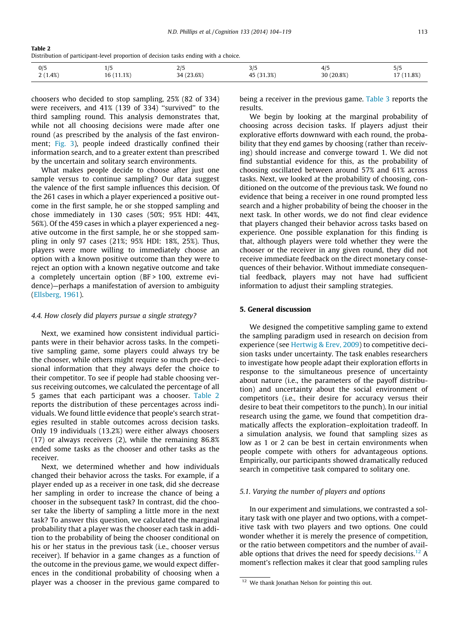<span id="page-9-0"></span>

| Table 2                                                                              |  |
|--------------------------------------------------------------------------------------|--|
| Distribution of participant-level proportion of decision tasks ending with a choice. |  |

| 0/5               | - 11                                                        | 215<br>۔ اے     | $-1-$         | −≠≀ →         | 5/5   |
|-------------------|-------------------------------------------------------------|-----------------|---------------|---------------|-------|
| (1.4%<br><u>.</u> | 1.10'<br>$\sim$<br>10 <sup>7</sup><br>$11.1\%$ <sup>1</sup> | 34 (23.6%)<br>. | 5(31.3%)<br>≖ | (20.8%)<br>30 | 11.8% |

choosers who decided to stop sampling, 25% (82 of 334) were receivers, and 41% (139 of 334) ''survived'' to the third sampling round. This analysis demonstrates that, while not all choosing decisions were made after one round (as prescribed by the analysis of the fast environment; [Fig. 3](#page-5-0)), people indeed drastically confined their information search, and to a greater extent than prescribed by the uncertain and solitary search environments.

What makes people decide to choose after just one sample versus to continue sampling? Our data suggest the valence of the first sample influences this decision. Of the 261 cases in which a player experienced a positive outcome in the first sample, he or she stopped sampling and chose immediately in 130 cases (50%; 95% HDI: 44%, 56%). Of the 459 cases in which a player experienced a negative outcome in the first sample, he or she stopped sampling in only 97 cases (21%; 95% HDI: 18%, 25%). Thus, players were more willing to immediately choose an option with a known positive outcome than they were to reject an option with a known negative outcome and take a completely uncertain option (BF > 100, extreme evidence)—perhaps a manifestation of aversion to ambiguity ([Ellsberg, 1961](#page-15-0)).

### 4.4. How closely did players pursue a single strategy?

Next, we examined how consistent individual participants were in their behavior across tasks. In the competitive sampling game, some players could always try be the chooser, while others might require so much pre-decisional information that they always defer the choice to their competitor. To see if people had stable choosing versus receiving outcomes, we calculated the percentage of all 5 games that each participant was a chooser. Table 2 reports the distribution of these percentages across individuals. We found little evidence that people's search strategies resulted in stable outcomes across decision tasks. Only 19 individuals (13.2%) were either always choosers (17) or always receivers (2), while the remaining 86.8% ended some tasks as the chooser and other tasks as the receiver.

Next, we determined whether and how individuals changed their behavior across the tasks. For example, if a player ended up as a receiver in one task, did she decrease her sampling in order to increase the chance of being a chooser in the subsequent task? In contrast, did the chooser take the liberty of sampling a little more in the next task? To answer this question, we calculated the marginal probability that a player was the chooser each task in addition to the probability of being the chooser conditional on his or her status in the previous task (i.e., chooser versus receiver). If behavior in a game changes as a function of the outcome in the previous game, we would expect differences in the conditional probability of choosing when a player was a chooser in the previous game compared to being a receiver in the previous game. [Table 3](#page-10-0) reports the results.

We begin by looking at the marginal probability of choosing across decision tasks. If players adjust their explorative efforts downward with each round, the probability that they end games by choosing (rather than receiving) should increase and converge toward 1. We did not find substantial evidence for this, as the probability of choosing oscillated between around 57% and 61% across tasks. Next, we looked at the probability of choosing, conditioned on the outcome of the previous task. We found no evidence that being a receiver in one round prompted less search and a higher probability of being the chooser in the next task. In other words, we do not find clear evidence that players changed their behavior across tasks based on experience. One possible explanation for this finding is that, although players were told whether they were the chooser or the receiver in any given round, they did not receive immediate feedback on the direct monetary consequences of their behavior. Without immediate consequential feedback, players may not have had sufficient information to adjust their sampling strategies.

#### 5. General discussion

We designed the competitive sampling game to extend the sampling paradigm used in research on decision from experience (see [Hertwig & Erev, 2009](#page-15-0)) to competitive decision tasks under uncertainty. The task enables researchers to investigate how people adapt their exploration efforts in response to the simultaneous presence of uncertainty about nature (i.e., the parameters of the payoff distribution) and uncertainty about the social environment of competitors (i.e., their desire for accuracy versus their desire to beat their competitors to the punch). In our initial research using the game, we found that competition dramatically affects the exploration–exploitation tradeoff. In a simulation analysis, we found that sampling sizes as low as 1 or 2 can be best in certain environments when people compete with others for advantageous options. Empirically, our participants showed dramatically reduced search in competitive task compared to solitary one.

#### 5.1. Varying the number of players and options

In our experiment and simulations, we contrasted a solitary task with one player and two options, with a competitive task with two players and two options. One could wonder whether it is merely the presence of competition, or the ratio between competitors and the number of available options that drives the need for speedy decisions.<sup>12</sup> A moment's reflection makes it clear that good sampling rules

 $12$  We thank Jonathan Nelson for pointing this out.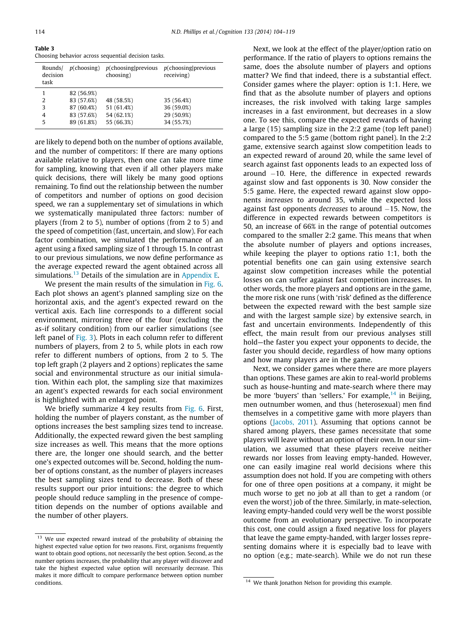<span id="page-10-0"></span>

| Table 3 |  |                                                     |  |
|---------|--|-----------------------------------------------------|--|
|         |  | Choosing behavior across sequential decision tasks. |  |

| $p$ (choosing previous<br>choosing) | $p$ (choosing previous<br>receiving) |
|-------------------------------------|--------------------------------------|
|                                     |                                      |
| 48 (58.5%)                          | 35 (56.4%)                           |
| 51 (61.4%)                          | 36 (59.0%)                           |
| 54 (62.1%)                          | 29 (50.9%)                           |
| 55 (66.3%)                          | 34 (55.7%)                           |
|                                     |                                      |

are likely to depend both on the number of options available, and the number of competitors: If there are many options available relative to players, then one can take more time for sampling, knowing that even if all other players make quick decisions, there will likely be many good options remaining. To find out the relationship between the number of competitors and number of options on good decision speed, we ran a supplementary set of simulations in which we systematically manipulated three factors: number of players (from 2 to 5), number of options (from 2 to 5) and the speed of competition (fast, uncertain, and slow). For each factor combination, we simulated the performance of an agent using a fixed sampling size of 1 through 15. In contrast to our previous simulations, we now define performance as the average expected reward the agent obtained across all simulations.<sup>13</sup> Details of the simulation are in [Appendix E](#page-14-0).

We present the main results of the simulation in [Fig. 6](#page-11-0). Each plot shows an agent's planned sampling size on the horizontal axis, and the agent's expected reward on the vertical axis. Each line corresponds to a different social environment, mirroring three of the four (excluding the as-if solitary condition) from our earlier simulations (see left panel of [Fig. 3\)](#page-5-0). Plots in each column refer to different numbers of players, from 2 to 5, while plots in each row refer to different numbers of options, from 2 to 5. The top left graph (2 players and 2 options) replicates the same social and environmental structure as our initial simulation. Within each plot, the sampling size that maximizes an agent's expected rewards for each social environment is highlighted with an enlarged point.

We briefly summarize 4 key results from [Fig. 6](#page-11-0). First, holding the number of players constant, as the number of options increases the best sampling sizes tend to increase. Additionally, the expected reward given the best sampling size increases as well. This means that the more options there are, the longer one should search, and the better one's expected outcomes will be. Second, holding the number of options constant, as the number of players increases the best sampling sizes tend to decrease. Both of these results support our prior intuitions: the degree to which people should reduce sampling in the presence of competition depends on the number of options available and the number of other players.

Next, we look at the effect of the player/option ratio on performance. If the ratio of players to options remains the same, does the absolute number of players and options matter? We find that indeed, there is a substantial effect. Consider games where the player: option is 1:1. Here, we find that as the absolute number of players and options increases, the risk involved with taking large samples increases in a fast environment, but decreases in a slow one. To see this, compare the expected rewards of having a large (15) sampling size in the 2:2 game (top left panel) compared to the 5:5 game (bottom right panel). In the 2:2 game, extensive search against slow competition leads to an expected reward of around 20, while the same level of search against fast opponents leads to an expected loss of  $a$ round  $-10$ . Here, the difference in expected rewards against slow and fast opponents is 30. Now consider the 5:5 game. Here, the expected reward against slow opponents increases to around 35, while the expected loss against fast opponents *decreases* to around  $-15$ . Now, the difference in expected rewards between competitors is 50, an increase of 66% in the range of potential outcomes compared to the smaller 2:2 game. This means that when the absolute number of players and options increases, while keeping the player to options ratio 1:1, both the potential benefits one can gain using extensive search against slow competition increases while the potential losses on can suffer against fast competition increases. In other words, the more players and options are in the game, the more risk one runs (with 'risk' defined as the difference between the expected reward with the best sample size and with the largest sample size) by extensive search, in fast and uncertain environments. Independently of this effect, the main result from our previous analyses still hold—the faster you expect your opponents to decide, the faster you should decide, regardless of how many options and how many players are in the game.

Next, we consider games where there are more players than options. These games are akin to real-world problems such as house-hunting and mate-search where there may be more 'buyers' than 'sellers.' For example,  $14$  in Beijing, men outnumber women, and thus (heterosexual) men find themselves in a competitive game with more players than options ([Jacobs, 2011\)](#page-15-0). Assuming that options cannot be shared among players, these games necessitate that some players will leave without an option of their own. In our simulation, we assumed that these players receive neither rewards nor losses from leaving empty-handed. However, one can easily imagine real world decisions where this assumption does not hold. If you are competing with others for one of three open positions at a company, it might be much worse to get no job at all than to get a random (or even the worst) job of the three. Similarly, in mate-selection, leaving empty-handed could very well be the worst possible outcome from an evolutionary perspective. To incorporate this cost, one could assign a fixed negative loss for players that leave the game empty-handed, with larger losses representing domains where it is especially bad to leave with no option (e.g.; mate-search). While we do not run these

<sup>&</sup>lt;sup>13</sup> We use expected reward instead of the probability of obtaining the highest expected value option for two reasons. First, organisms frequently want to obtain good options, not necessarily the best option. Second, as the number options increases, the probability that any player will discover and take the highest expected value option will necessarily decrease. This makes it more difficult to compare performance between option number conditions. <sup>14</sup> We thank Jonathon Nelson for providing this example.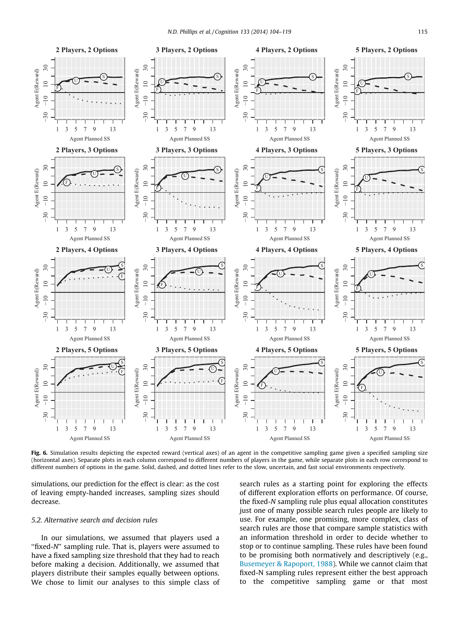<span id="page-11-0"></span>

Fig. 6. Simulation results depicting the expected reward (vertical axes) of an agent in the competitive sampling game given a specified sampling size (horizontal axes). Separate plots in each column correspond to different numbers of players in the game, while separate plots in each row correspond to different numbers of options in the game. Solid, dashed, and dotted lines refer to the slow, uncertain, and fast social environments respectively.

simulations, our prediction for the effect is clear: as the cost of leaving empty-handed increases, sampling sizes should decrease.

## 5.2. Alternative search and decision rules

In our simulations, we assumed that players used a ''fixed-N'' sampling rule. That is, players were assumed to have a fixed sampling size threshold that they had to reach before making a decision. Additionally, we assumed that players distribute their samples equally between options. We chose to limit our analyses to this simple class of search rules as a starting point for exploring the effects of different exploration efforts on performance. Of course, the fixed-N sampling rule plus equal allocation constitutes just one of many possible search rules people are likely to use. For example, one promising, more complex, class of search rules are those that compare sample statistics with an information threshold in order to decide whether to stop or to continue sampling. These rules have been found to be promising both normatively and descriptively (e.g., [Busemeyer & Rapoport, 1988](#page-15-0)). While we cannot claim that fixed-N sampling rules represent either the best approach to the competitive sampling game or that most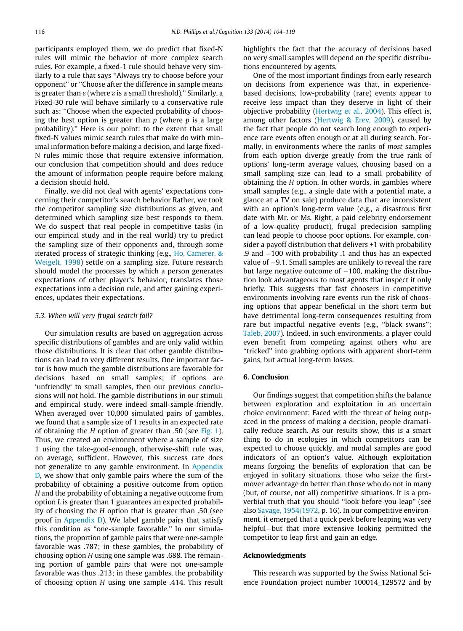participants employed them, we do predict that fixed-N rules will mimic the behavior of more complex search rules. For example, a fixed-1 rule should behave very similarly to a rule that says ''Always try to choose before your opponent'' or ''Choose after the difference in sample means is greater than  $\varepsilon$  (where  $\varepsilon$  is a small threshold)." Similarly, a Fixed-30 rule will behave similarly to a conservative rule such as: "Choose when the expected probability of choosing the best option is greater than  $p$  (where  $p$  is a large probability).'' Here is our point: to the extent that small fixed-N values mimic search rules that make do with minimal information before making a decision, and large fixed-N rules mimic those that require extensive information, our conclusion that competition should and does reduce the amount of information people require before making a decision should hold.

Finally, we did not deal with agents' expectations concerning their competitor's search behavior Rather, we took the competitor sampling size distributions as given, and determined which sampling size best responds to them. We do suspect that real people in competitive tasks (in our empirical study and in the real world) try to predict the sampling size of their opponents and, through some iterated process of strategic thinking (e.g., [Ho, Camerer, &](#page-15-0) [Weigelt, 1998\)](#page-15-0) settle on a sampling size. Future research should model the processes by which a person generates expectations of other player's behavior, translates those expectations into a decision rule, and after gaining experiences, updates their expectations.

#### 5.3. When will very frugal search fail?

Our simulation results are based on aggregation across specific distributions of gambles and are only valid within those distributions. It is clear that other gamble distributions can lead to very different results. One important factor is how much the gamble distributions are favorable for decisions based on small samples; if options are 'unfriendly' to small samples, then our previous conclusions will not hold. The gamble distributions in our stimuli and empirical study, were indeed small-sample-friendly. When averaged over 10,000 simulated pairs of gambles, we found that a sample size of 1 results in an expected rate of obtaining the H option of greater than .50 (see [Fig. 1](#page-4-0)). Thus, we created an environment where a sample of size 1 using the take-good-enough, otherwise-shift rule was, on average, sufficient. However, this success rate does not generalize to any gamble environment. In [Appendix](#page-14-0) [D,](#page-14-0) we show that only gamble pairs where the sum of the probability of obtaining a positive outcome from option H and the probability of obtaining a negative outcome from option L is greater than 1 guarantees an expected probability of choosing the H option that is greater than .50 (see proof in [Appendix D\)](#page-14-0). We label gamble pairs that satisfy this condition as ''one-sample favorable.'' In our simulations, the proportion of gamble pairs that were one-sample favorable was .787; in these gambles, the probability of choosing option H using one sample was .688. The remaining portion of gamble pairs that were not one-sample favorable was thus .213; in these gambles, the probability of choosing option H using one sample .414. This result

highlights the fact that the accuracy of decisions based on very small samples will depend on the specific distributions encountered by agents.

One of the most important findings from early research on decisions from experience was that, in experiencebased decisions, low-probability (rare) events appear to receive less impact than they deserve in light of their objective probability [\(Hertwig et al., 2004](#page-15-0)). This effect is, among other factors [\(Hertwig & Erev, 2009](#page-15-0)), caused by the fact that people do not search long enough to experience rare events often enough or at all during search. Formally, in environments where the ranks of most samples from each option diverge greatly from the true rank of options' long-term average values, choosing based on a small sampling size can lead to a small probability of obtaining the H option. In other words, in gambles where small samples (e.g., a single date with a potential mate, a glance at a TV on sale) produce data that are inconsistent with an option's long-term value (e.g., a disastrous first date with Mr. or Ms. Right, a paid celebrity endorsement of a low-quality product), frugal predecision sampling can lead people to choose poor options. For example, consider a payoff distribution that delivers +1 with probability .9 and -100 with probability .1 and thus has an expected value of -9.1. Small samples are unlikely to reveal the rare but large negative outcome of  $-100$ , making the distribution look advantageous to most agents that inspect it only briefly. This suggests that fast choosers in competitive environments involving rare events run the risk of choosing options that appear beneficial in the short term but have detrimental long-term consequences resulting from rare but impactful negative events (e.g., ''black swans''; [Taleb, 2007\)](#page-15-0). Indeed, in such environments, a player could even benefit from competing against others who are ''tricked'' into grabbing options with apparent short-term gains, but actual long-term losses.

# 6. Conclusion

Our findings suggest that competition shifts the balance between exploration and exploitation in an uncertain choice environment: Faced with the threat of being outpaced in the process of making a decision, people dramatically reduce search. As our results show, this is a smart thing to do in ecologies in which competitors can be expected to choose quickly, and modal samples are good indicators of an option's value. Although exploitation means forgoing the benefits of exploration that can be enjoyed in solitary situations, those who seize the firstmover advantage do better than those who do not in many (but, of course, not all) competitive situations. It is a proverbial truth that you should ''look before you leap'' (see also [Savage, 1954/1972](#page-15-0), p. 16). In our competitive environment, it emerged that a quick peek before leaping was very helpful—but that more extensive looking permitted the competitor to leap first and gain an edge.

### Acknowledgments

This research was supported by the Swiss National Science Foundation project number 100014\_129572 and by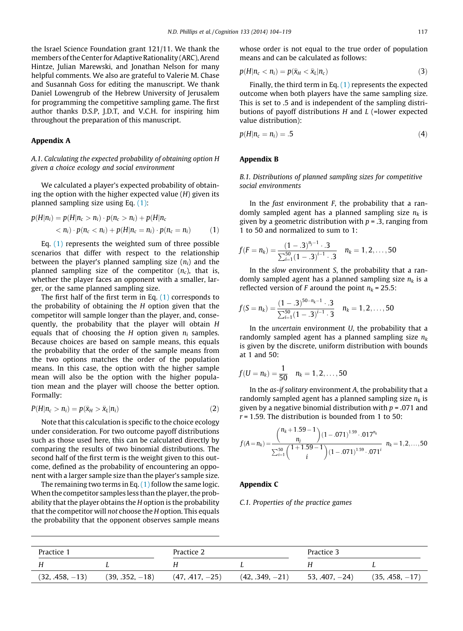<span id="page-13-0"></span>the Israel Science Foundation grant 121/11. We thank the members of the Center for Adaptive Rationality (ARC), Arend Hintze, Julian Marewski, and Jonathan Nelson for many helpful comments. We also are grateful to Valerie M. Chase and Susannah Goss for editing the manuscript. We thank Daniel Lowengrub of the Hebrew University of Jerusalem for programming the competitive sampling game. The first author thanks D.S.P, J.D.T, and V.C.H. for inspiring him throughout the preparation of this manuscript.

## Appendix A

A.1. Calculating the expected probability of obtaining option H given a choice ecology and social environment

We calculated a player's expected probability of obtaining the option with the higher expected value  $(H)$  given its planned sampling size using Eq. (1):

$$
p(H|n_i) = p(H|n_c > n_i) \cdot p(n_c > n_i) + p(H|n_c
$$
  

$$
< n_i) \cdot p(n_c < n_i) + p(H|n_c = n_i) \cdot p(n_c = n_i)
$$
 (1)

Eq. (1) represents the weighted sum of three possible scenarios that differ with respect to the relationship between the player's planned sampling size  $(n_i)$  and the planned sampling size of the competitor  $(n_c)$ , that is, whether the player faces an opponent with a smaller, larger, or the same planned sampling size.

The first half of the first term in Eq.  $(1)$  corresponds to the probability of obtaining the H option given that the competitor will sample longer than the player, and, consequently, the probability that the player will obtain H equals that of choosing the H option given  $n_i$  samples. Because choices are based on sample means, this equals the probability that the order of the sample means from the two options matches the order of the population means. In this case, the option with the higher sample mean will also be the option with the higher population mean and the player will choose the better option. Formally:

$$
P(H|n_c > n_i) = p(\bar{x}_H > \bar{x}_L|n_i)
$$
\n(2)

Note that this calculation is specific to the choice ecology under consideration. For two outcome payoff distributions such as those used here, this can be calculated directly by comparing the results of two binomial distributions. The second half of the first term is the weight given to this outcome, defined as the probability of encountering an opponent with a larger sample size than the player's sample size.

The remaining two terms in Eq.  $(1)$  follow the same logic. When the competitor samples less than the player, the probability that the player obtains the H option is the probability that the competitor will not choose the H option. This equals the probability that the opponent observes sample means

whose order is not equal to the true order of population means and can be calculated as follows:

$$
p(H|n_c < n_i) = p(\bar{x}_H < \bar{x}_L|n_c)
$$
\n(3)

Finally, the third term in Eq. (1) represents the expected outcome when both players have the same sampling size. This is set to .5 and is independent of the sampling distributions of payoff distributions  $H$  and  $L$  (=lower expected value distribution):

$$
p(H|n_c = n_i) = .5 \tag{4}
$$

#### Appendix B

B.1. Distributions of planned sampling sizes for competitive social environments

In the *fast* environment  $F$ , the probability that a randomly sampled agent has a planned sampling size  $n_k$  is given by a geometric distribution with  $p = 0.3$ , ranging from 1 to 50 and normalized to sum to 1:

$$
f(F = n_k) = \frac{(1-3)^{n_j-1} \cdot 3}{\sum_{i=1}^{50} (1-3)^{i-1} \cdot 3} \quad n_k = 1, 2, \ldots, 50
$$

In the slow environment S, the probability that a randomly sampled agent has a planned sampling size  $n_k$  is a reflected version of F around the point  $n_k = 25.5$ :

$$
f(S = n_k) = \frac{(1 - .3)^{50 - n_k - 1} \cdot .3}{\sum_{i=1}^{50} (1 - .3)^{i-1} \cdot 3} \quad n_k = 1, 2, \dots, 50
$$

In the *uncertain* environment  $U$ , the probability that a randomly sampled agent has a planned sampling size  $n_k$ is given by the discrete, uniform distribution with bounds at 1 and 50:

$$
f(U = n_k) = \frac{1}{50} \quad n_k = 1, 2, \ldots, 50
$$

In the as-if solitary environment A, the probability that a randomly sampled agent has a planned sampling size  $n_k$  is given by a negative binomial distribution with  $p = .071$  and  $r = 1.59$ . The distribution is bounded from 1 to 50:

$$
f(A = n_k) = \frac{{\binom{n_k + 1.59 - 1}{n_j}}}{\sum_{i=1}^{50} {\binom{1 + 1.59 - 1}{i}} (1 - .071)^{1.59} \cdot .071^i} \ n_k = 1, 2, ..., 50
$$

## Appendix C

C.1. Properties of the practice games

| Practice 2<br>Practice 1 |                   | Practice 3        |                   |                  |                   |
|--------------------------|-------------------|-------------------|-------------------|------------------|-------------------|
|                          |                   |                   |                   |                  |                   |
| $(32, .458, -13)$        | $(39, .352, -18)$ | $(47, .417, -25)$ | $(42, .349, -21)$ | $53, .407, -24)$ | $(35, .458, -17)$ |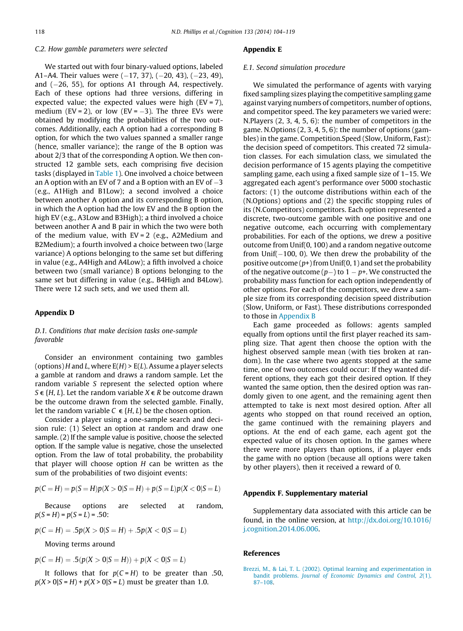## <span id="page-14-0"></span>C.2. How gamble parameters were selected

We started out with four binary-valued options, labeled A1–A4. Their values were (–17, 37), (–20, 43), (–23, 49), and (-26, 55), for options A1 through A4, respectively. Each of these options had three versions, differing in expected value; the expected values were high  $(EV = 7)$ , medium (EV = 2), or low (EV =  $-3$ ). The three EVs were obtained by modifying the probabilities of the two outcomes. Additionally, each A option had a corresponding B option, for which the two values spanned a smaller range (hence, smaller variance); the range of the B option was about 2/3 that of the corresponding A option. We then constructed 12 gamble sets, each comprising five decision tasks (displayed in [Table 1\)](#page-6-0). One involved a choice between an A option with an EV of 7 and a B option with an EV of  $-3$ (e.g., A1High and B1Low); a second involved a choice between another A option and its corresponding B option, in which the A option had the low EV and the B option the high EV (e.g., A3Low and B3High); a third involved a choice between another A and B pair in which the two were both of the medium value, with  $EV = 2$  (e.g., A2Medium and B2Medium); a fourth involved a choice between two (large variance) A options belonging to the same set but differing in value (e.g., A4High and A4Low); a fifth involved a choice between two (small variance) B options belonging to the same set but differing in value (e.g., B4High and B4Low). There were 12 such sets, and we used them all.

#### Appendix D

## D.1. Conditions that make decision tasks one-sample favorable

Consider an environment containing two gambles (options) H and L, where  $E(H) > E(L)$ . Assume a player selects a gamble at random and draws a random sample. Let the random variable S represent the selected option where  $S \in \{H, L\}$ . Let the random variable  $X \in R$  be outcome drawn be the outcome drawn from the selected gamble. Finally, let the random variable  $C \in \{H, L\}$  be the chosen option.

Consider a player using a one-sample search and decision rule: (1) Select an option at random and draw one sample. (2) If the sample value is positive, choose the selected option. If the sample value is negative, chose the unselected option. From the law of total probability, the probability that player will choose option H can be written as the sum of the probabilities of two disjoint events:

$$
p(C = H) = p(S = H)p(X > 0|S = H) + p(S = L)p(X < 0|S = L)
$$

Because options are selected at random,  $p(S = H) = p(S = L) = .50$ :

$$
p(C = H) = .5p(X > 0|S = H) + .5p(X < 0|S = L)
$$

Moving terms around

$$
p(C = H) = .5(p(X > 0|S = H)) + p(X < 0|S = L)
$$

It follows that for  $p(C = H)$  to be greater than .50,  $p(X > 0 | S = H) + p(X > 0 | S = L)$  must be greater than 1.0.

#### Appendix E

#### E.1. Second simulation procedure

We simulated the performance of agents with varying fixed sampling sizes playing the competitive sampling game against varying numbers of competitors, number of options, and competitor speed. The key parameters we varied were: N.Players (2, 3, 4, 5, 6): the number of competitors in the game. N.Options (2, 3, 4, 5, 6): the number of options (gambles) in the game. Competition.Speed (Slow, Uniform, Fast): the decision speed of competitors. This created 72 simulation classes. For each simulation class, we simulated the decision performance of 15 agents playing the competitive sampling game, each using a fixed sample size of 1–15. We aggregated each agent's performance over 5000 stochastic factors: (1) the outcome distributions within each of the (N.Options) options and (2) the specific stopping rules of its (N.Competitors) competitors. Each option represented a discrete, two-outcome gamble with one positive and one negative outcome, each occurring with complementary probabilities. For each of the options, we drew a positive outcome from Unif(0, 100) and a random negative outcome from Unif(-100, 0). We then drew the probability of the positive outcome  $(p+)$  from Unif(0, 1) and set the probability of the negative outcome (p–) to  $1-p+$ . We constructed the probability mass function for each option independently of other options. For each of the competitors, we drew a sample size from its corresponding decision speed distribution (Slow, Uniform, or Fast). These distributions corresponded to those in [Appendix B](#page-13-0)

Each game proceeded as follows: agents sampled equally from options until the first player reached its sampling size. That agent then choose the option with the highest observed sample mean (with ties broken at random). In the case where two agents stopped at the same time, one of two outcomes could occur: If they wanted different options, they each got their desired option. If they wanted the same option, then the desired option was randomly given to one agent, and the remaining agent then attempted to take is next most desired option. After all agents who stopped on that round received an option, the game continued with the remaining players and options. At the end of each game, each agent got the expected value of its chosen option. In the games where there were more players than options, if a player ends the game with no option (because all options were taken by other players), then it received a reward of 0.

#### Appendix F. Supplementary material

Supplementary data associated with this article can be found, in the online version, at [http://dx.doi.org/10.1016/](http://dx.doi.org/10.1016/j.cognition.2014.06.006) [j.cognition.2014.06.006](http://dx.doi.org/10.1016/j.cognition.2014.06.006).

## References

[Brezzi, M., & Lai, T. L. \(2002\). Optimal learning and experimentation in](http://refhub.elsevier.com/S0010-0277(14)00116-4/h0005) bandit problems. [Journal of Economic Dynamics and Control, 2](http://refhub.elsevier.com/S0010-0277(14)00116-4/h0005)(1), [87–108](http://refhub.elsevier.com/S0010-0277(14)00116-4/h0005).